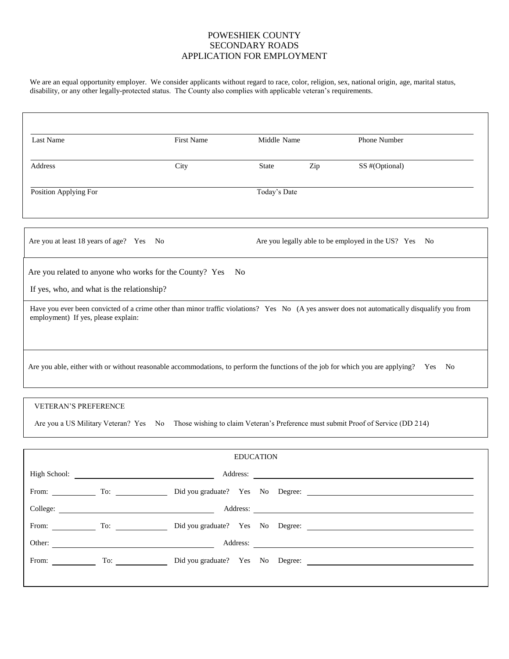We are an equal opportunity employer. We consider applicants without regard to race, color, religion, sex, national origin, age, marital status, disability, or any other legally-protected status. The County also complies with applicable veteran's requirements.

| <b>Last Name</b>                                                                                                                                                                    |                      | First Name                       |                  | Middle Name    |  | Phone Number                                          |  |
|-------------------------------------------------------------------------------------------------------------------------------------------------------------------------------------|----------------------|----------------------------------|------------------|----------------|--|-------------------------------------------------------|--|
| Address                                                                                                                                                                             | City<br><b>State</b> |                                  | Zip              | SS #(Optional) |  |                                                       |  |
| Position Applying For                                                                                                                                                               |                      |                                  |                  | Today's Date   |  |                                                       |  |
| Are you at least 18 years of age? Yes No                                                                                                                                            |                      |                                  |                  |                |  | Are you legally able to be employed in the US? Yes No |  |
| Are you related to anyone who works for the County? Yes<br>- No<br>If yes, who, and what is the relationship?                                                                       |                      |                                  |                  |                |  |                                                       |  |
| Have you ever been convicted of a crime other than minor traffic violations? Yes No (A yes answer does not automatically disqualify you from<br>employment) If yes, please explain: |                      |                                  |                  |                |  |                                                       |  |
| Are you able, either with or without reasonable accommodations, to perform the functions of the job for which you are applying? Yes No                                              |                      |                                  |                  |                |  |                                                       |  |
|                                                                                                                                                                                     |                      |                                  |                  |                |  |                                                       |  |
| VETERAN'S PREFERENCE<br>Are you a US Military Veteran? Yes No Those wishing to claim Veteran's Preference must submit Proof of Service (DD 214)                                     |                      |                                  |                  |                |  |                                                       |  |
|                                                                                                                                                                                     |                      |                                  |                  |                |  |                                                       |  |
|                                                                                                                                                                                     |                      |                                  | <b>EDUCATION</b> |                |  |                                                       |  |
| High School:                                                                                                                                                                        |                      |                                  | Address:         |                |  |                                                       |  |
| To:<br>From:                                                                                                                                                                        |                      | Did you graduate? Yes No Degree: |                  |                |  |                                                       |  |
|                                                                                                                                                                                     |                      |                                  |                  |                |  |                                                       |  |
|                                                                                                                                                                                     |                      |                                  |                  |                |  |                                                       |  |
|                                                                                                                                                                                     |                      |                                  |                  |                |  |                                                       |  |
|                                                                                                                                                                                     |                      |                                  |                  |                |  |                                                       |  |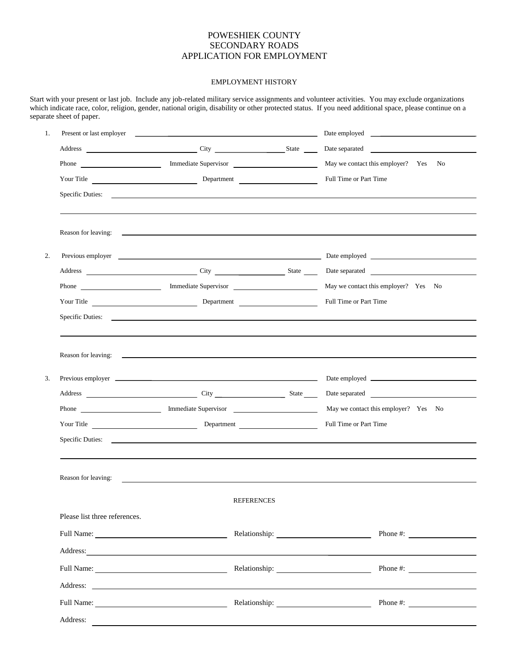#### EMPLOYMENT HISTORY

Start with your present or last job. Include any job-related military service assignments and volunteer activities. You may exclude organizations which indicate race, color, religion, gender, national origin, disability or other protected status. If you need additional space, please continue on a separate sheet of paper.

| 1. | Present or last employer                                                                                                                                                                                                             |            |                   | Date employed <u>sales and the same set of the same set of the same set of the same set of the same set of the same set of the same set of the same set of the same set of the same set of the same set of the same set of the s</u> |                        |                                                                                                                                                                                                                                      |  |
|----|--------------------------------------------------------------------------------------------------------------------------------------------------------------------------------------------------------------------------------------|------------|-------------------|--------------------------------------------------------------------------------------------------------------------------------------------------------------------------------------------------------------------------------------|------------------------|--------------------------------------------------------------------------------------------------------------------------------------------------------------------------------------------------------------------------------------|--|
|    |                                                                                                                                                                                                                                      |            |                   |                                                                                                                                                                                                                                      |                        | Date separated                                                                                                                                                                                                                       |  |
|    |                                                                                                                                                                                                                                      |            |                   |                                                                                                                                                                                                                                      |                        | May we contact this employer? Yes No                                                                                                                                                                                                 |  |
|    | Your Title <u>example and the set of the Department</u> Department                                                                                                                                                                   |            |                   |                                                                                                                                                                                                                                      | Full Time or Part Time |                                                                                                                                                                                                                                      |  |
|    | Specific Duties:                                                                                                                                                                                                                     |            |                   |                                                                                                                                                                                                                                      |                        |                                                                                                                                                                                                                                      |  |
|    |                                                                                                                                                                                                                                      |            |                   |                                                                                                                                                                                                                                      |                        |                                                                                                                                                                                                                                      |  |
| 2. |                                                                                                                                                                                                                                      |            |                   |                                                                                                                                                                                                                                      |                        | Previous employer <u>example and the set of the set of the set of the set of the set of the set of the set of the set of the set of the set of the set of the set of the set of the set of the set of the set of the set of the </u> |  |
|    | Address City City State State                                                                                                                                                                                                        |            |                   |                                                                                                                                                                                                                                      |                        | Date separated                                                                                                                                                                                                                       |  |
|    |                                                                                                                                                                                                                                      |            |                   |                                                                                                                                                                                                                                      |                        | May we contact this employer? Yes No                                                                                                                                                                                                 |  |
|    | Your Title                                                                                                                                                                                                                           |            |                   |                                                                                                                                                                                                                                      | Full Time or Part Time |                                                                                                                                                                                                                                      |  |
|    | Specific Duties:                                                                                                                                                                                                                     |            |                   |                                                                                                                                                                                                                                      |                        |                                                                                                                                                                                                                                      |  |
|    |                                                                                                                                                                                                                                      |            |                   |                                                                                                                                                                                                                                      |                        |                                                                                                                                                                                                                                      |  |
| 3. | Previous employer <u>example and the contract of the contract of the contract of the contract of the contract of the contract of the contract of the contract of the contract of the contract of the contract of the contract of</u> |            |                   |                                                                                                                                                                                                                                      |                        |                                                                                                                                                                                                                                      |  |
|    |                                                                                                                                                                                                                                      |            |                   |                                                                                                                                                                                                                                      |                        |                                                                                                                                                                                                                                      |  |
|    |                                                                                                                                                                                                                                      |            |                   |                                                                                                                                                                                                                                      |                        | May we contact this employer? Yes No                                                                                                                                                                                                 |  |
|    |                                                                                                                                                                                                                                      | Your Title |                   |                                                                                                                                                                                                                                      | Full Time or Part Time |                                                                                                                                                                                                                                      |  |
|    |                                                                                                                                                                                                                                      |            |                   |                                                                                                                                                                                                                                      |                        |                                                                                                                                                                                                                                      |  |
|    |                                                                                                                                                                                                                                      |            |                   |                                                                                                                                                                                                                                      |                        |                                                                                                                                                                                                                                      |  |
|    | Reason for leaving:                                                                                                                                                                                                                  |            |                   |                                                                                                                                                                                                                                      |                        |                                                                                                                                                                                                                                      |  |
|    |                                                                                                                                                                                                                                      |            | <b>REFERENCES</b> |                                                                                                                                                                                                                                      |                        |                                                                                                                                                                                                                                      |  |
|    | Please list three references.                                                                                                                                                                                                        |            |                   |                                                                                                                                                                                                                                      |                        |                                                                                                                                                                                                                                      |  |
|    |                                                                                                                                                                                                                                      |            |                   |                                                                                                                                                                                                                                      |                        |                                                                                                                                                                                                                                      |  |
|    |                                                                                                                                                                                                                                      |            |                   |                                                                                                                                                                                                                                      |                        |                                                                                                                                                                                                                                      |  |
|    |                                                                                                                                                                                                                                      |            |                   |                                                                                                                                                                                                                                      |                        | Relationship: Phone #:                                                                                                                                                                                                               |  |
|    |                                                                                                                                                                                                                                      |            |                   |                                                                                                                                                                                                                                      |                        |                                                                                                                                                                                                                                      |  |
|    |                                                                                                                                                                                                                                      |            |                   |                                                                                                                                                                                                                                      |                        | Phone #: $\qquad \qquad$                                                                                                                                                                                                             |  |
|    | Address:                                                                                                                                                                                                                             |            |                   |                                                                                                                                                                                                                                      |                        |                                                                                                                                                                                                                                      |  |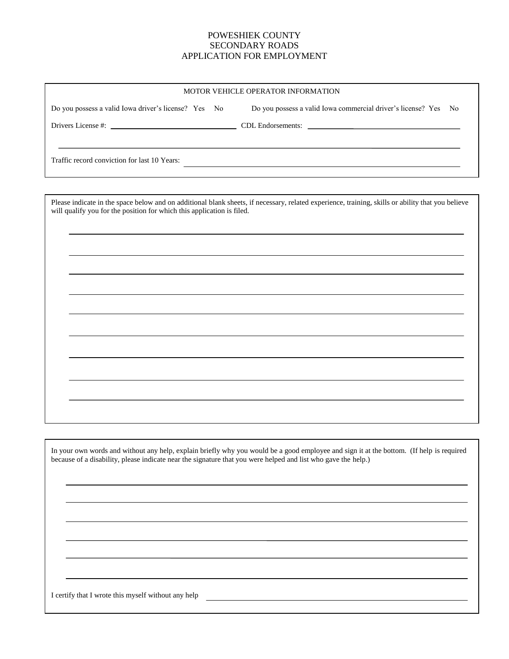| MOTOR VEHICLE OPERATOR INFORMATION                   |                                                                 |  |  |  |  |  |
|------------------------------------------------------|-----------------------------------------------------------------|--|--|--|--|--|
| Do you possess a valid Iowa driver's license? Yes No | Do you possess a valid Iowa commercial driver's license? Yes No |  |  |  |  |  |
|                                                      |                                                                 |  |  |  |  |  |
| Traffic record conviction for last 10 Years:         |                                                                 |  |  |  |  |  |

Please indicate in the space below and on additional blank sheets, if necessary, related experience, training, skills or ability that you believe will qualify you for the position for which this application is filed.

In your own words and without any help, explain briefly why you would be a good employee and sign it at the bottom. (If help is required because of a disability, please indicate near the signature that you were helped and list who gave the help.)

I certify that I wrote this myself without any help